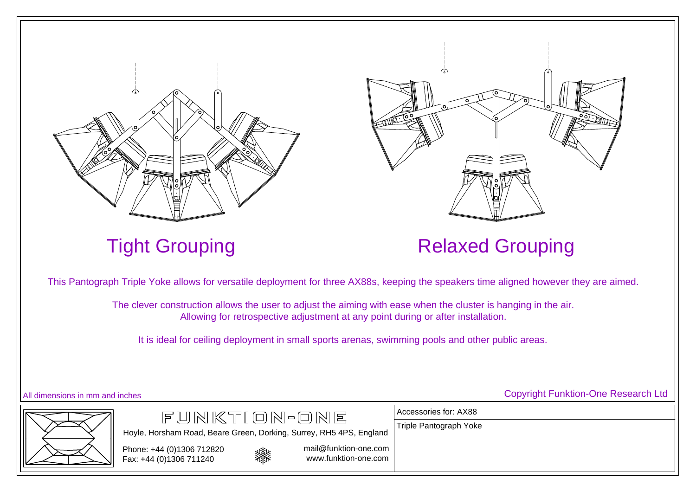



## Tight Grouping **Relaxed Grouping**

Accessories for: AX88

Triple Pantograph Yoke

This Pantograph Triple Yoke allows for versatile deployment for three AX88s, keeping the speakers time aligned however they are aimed.

The clever construction allows the user to adjust the aiming with ease when the cluster is hanging in the air. Allowing for retrospective adjustment at any point during or after installation.

It is ideal for ceiling deployment in small sports arenas, swimming pools and other public areas.





燚

Hoyle, Horsham Road, Beare Green, Dorking, Surrey, RH5 4PS, England

FUNKTION-ONE

mail@funktion-one.com

www.funktion-one.com

All dimensions in mm and inches Copyright Funktion-One Research Ltd